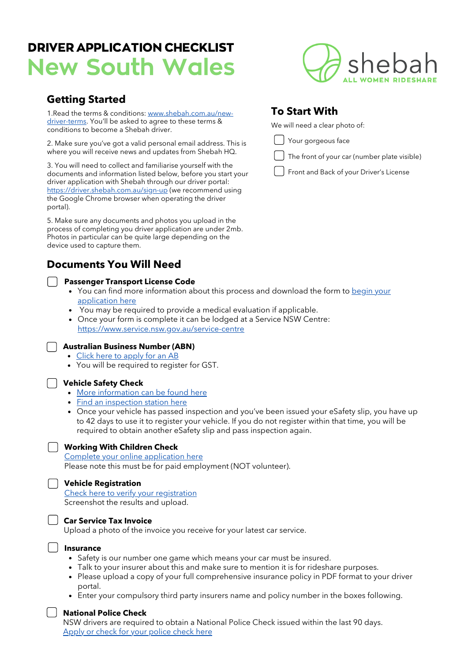# DRIVER APPLICATION CHECKLIST New South Wales

# **Getting Started**

[1.Read the terms & conditions: www.shebah.com.au/new](https://www.shebah.com.au/new-driver-terms)driver-terms. You'll be asked to agree to these terms & conditions to become a Shebah driver.

2. Make sure you've got a valid personal email address. This is where you will receive news and updates from Shebah HQ.

3. You will need to collect and familiarise yourself with the documents and information listed below, before you start your driver application with Shebah through our driver portal: <https://driver.shebah.com.au/sign-up>(we recommend using the Google Chrome browser when operating the driver portal).

5. Make sure any documents and photos you upload in the process of completing you driver application are under 2mb. Photos in particular can be quite large depending on the device used to capture them.

# **Documents You Will Need**

### **Passenger Transport License Code**

- You can find more [information](https://www.service.nsw.gov.au/transaction/application-passenger-transport-licence-code) about this process and download the form to begin your application here
- You may be required to provide a medical evaluation if applicable.
- Once your form is complete it can be lodged at a Service NSW Centre: <https://www.service.nsw.gov.au/service-centre>

#### **Australian Business Number (ABN)**

- Click here to [apply](https://www.abr.gov.au/business-super-funds-charities/applying-abn) for an AB
- You will be required to register for GST.

#### **Vehicle Safety Check**

- More [information](https://www.rms.nsw.gov.au/business-industry/public-passenger-vehicles/point-to-pointtransport-vehicles.html) can be found here
- Find an [inspection](https://www.rms.nsw.gov.au/cgi-bin/index.cgi?action=esafetycheck.form) station here
- Once your vehicle has passed inspection and you've been issued your eSafety slip, you have up to 42 days to use it to register your vehicle. If you do not register within that time, you will be required to obtain another eSafety slip and pass inspection again.

#### **Working With Children Check**

Complete your online [application](https://www.kidsguardian.nsw.gov.au/child-safe-organisations/working-with-children-check) here Please note this must be for paid employment (NOT volunteer).

#### **Vehicle Registration**

Check here to verify your [registration](https://www.service.nsw.gov.au/transaction/check-vehicle-registration)

Screenshot the results and upload.

**Car Service Tax Invoice** Upload a photo of the invoice you receive for your latest car service.

#### **Insurance**

- Safety is our number one game which means your car must be insured.
- Talk to your insurer about this and make sure to mention it is for rideshare purposes.
- Please upload a copy of your full comprehensive insurance policy in PDF format to your driver portal.
- Enter your compulsory third party insurers name and policy number in the boxes following.

#### **National Police Check**

NSW drivers are required to obtain a National Police Check issued within the last 90 days. Apply or check for your [police](https://www.checked.com.au/national-police-certificate) check here



# **To Start With**

We will need a clear photo of:

Your gorgeous face

| $\int$ The front of your car (number plate visible) |  |
|-----------------------------------------------------|--|
|                                                     |  |

Front and Back of your Driver's License